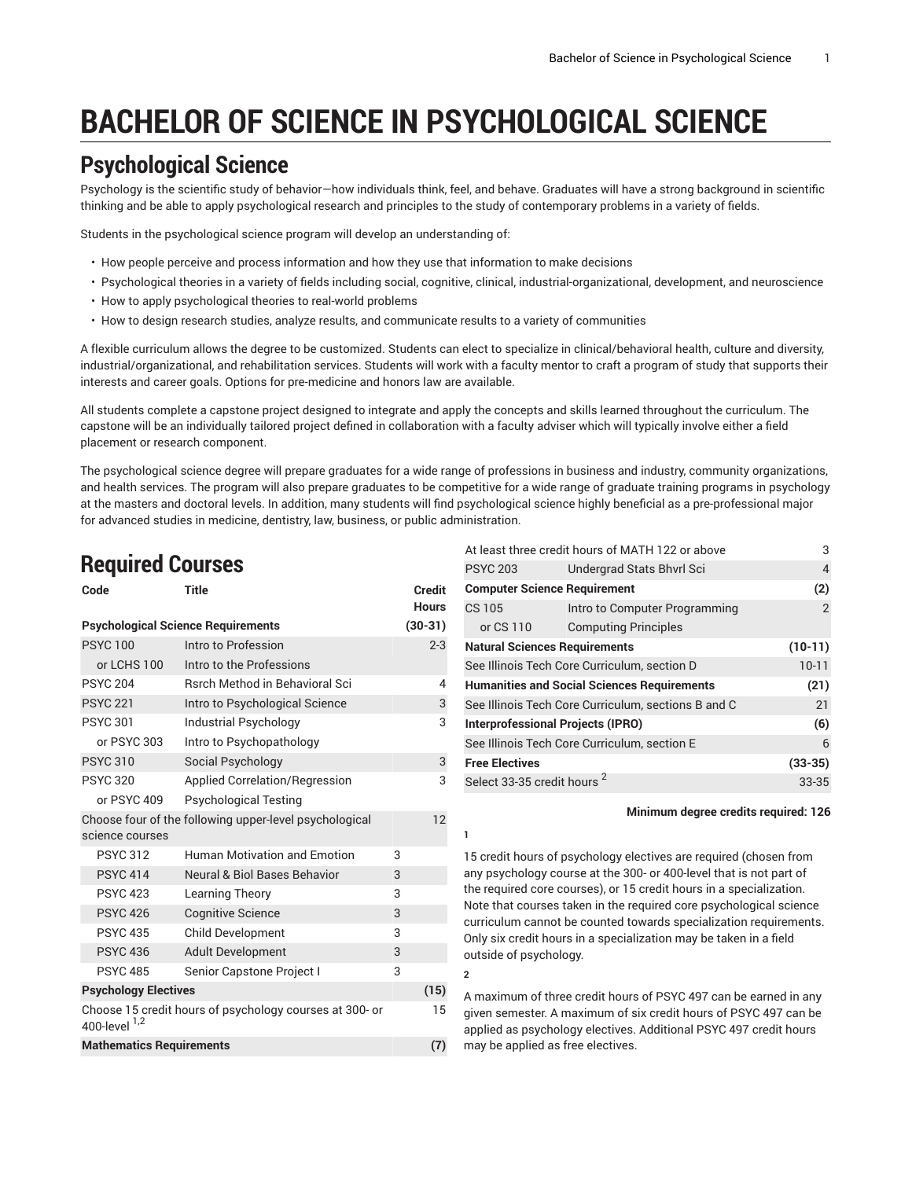# **BACHELOR OF SCIENCE IN PSYCHOLOGICAL SCIENCE**

# **Psychological Science**

Psychology is the scientific study of behavior—how individuals think, feel, and behave. Graduates will have a strong background in scientific thinking and be able to apply psychological research and principles to the study of contemporary problems in a variety of fields.

Students in the psychological science program will develop an understanding of:

- How people perceive and process information and how they use that information to make decisions
- Psychological theories in a variety of fields including social, cognitive, clinical, industrial-organizational, development, and neuroscience
- How to apply psychological theories to real-world problems
- How to design research studies, analyze results, and communicate results to a variety of communities

A flexible curriculum allows the degree to be customized. Students can elect to specialize in clinical/behavioral health, culture and diversity, industrial/organizational, and rehabilitation services. Students will work with a faculty mentor to craft a program of study that supports their interests and career goals. Options for pre-medicine and honors law are available.

All students complete a capstone project designed to integrate and apply the concepts and skills learned throughout the curriculum. The capstone will be an individually tailored project defined in collaboration with a faculty adviser which will typically involve either a field placement or research component.

The psychological science degree will prepare graduates for a wide range of professions in business and industry, community organizations, and health services. The program will also prepare graduates to be competitive for a wide range of graduate training programs in psychology at the masters and doctoral levels. In addition, many students will find psychological science highly beneficial as a pre-professional major for advanced studies in medicine, dentistry, law, business, or public administration.

**1**

**2**

### **Required Courses**

| Code                                                                          | <b>Title</b>                                           |   | <b>Credit</b> |
|-------------------------------------------------------------------------------|--------------------------------------------------------|---|---------------|
|                                                                               |                                                        |   | <b>Hours</b>  |
|                                                                               | <b>Psychological Science Requirements</b>              |   | $(30-31)$     |
| <b>PSYC 100</b>                                                               | Intro to Profession                                    |   | $2 - 3$       |
| or LCHS 100                                                                   | Intro to the Professions                               |   |               |
| <b>PSYC 204</b>                                                               | <b>Rsrch Method in Behavioral Sci</b>                  |   | 4             |
| <b>PSYC 221</b>                                                               | Intro to Psychological Science                         |   | 3             |
| <b>PSYC 301</b>                                                               | <b>Industrial Psychology</b>                           |   | 3             |
| or PSYC 303                                                                   | Intro to Psychopathology                               |   |               |
| <b>PSYC 310</b>                                                               | Social Psychology                                      |   | 3             |
| <b>PSYC 320</b>                                                               | <b>Applied Correlation/Regression</b>                  |   | 3             |
| or PSYC 409                                                                   | <b>Psychological Testing</b>                           |   |               |
|                                                                               | Choose four of the following upper-level psychological |   | 12            |
| science courses                                                               |                                                        |   |               |
| <b>PSYC 312</b>                                                               | <b>Human Motivation and Emotion</b>                    | 3 |               |
| <b>PSYC 414</b>                                                               | <b>Neural &amp; Biol Bases Behavior</b>                | 3 |               |
| <b>PSYC 423</b>                                                               | Learning Theory                                        | 3 |               |
| <b>PSYC 426</b>                                                               | <b>Cognitive Science</b>                               | 3 |               |
| <b>PSYC 435</b>                                                               | <b>Child Development</b>                               | 3 |               |
| <b>PSYC 436</b>                                                               | <b>Adult Development</b>                               | 3 |               |
| <b>PSYC 485</b>                                                               | Senior Capstone Project I                              | 3 |               |
| <b>Psychology Electives</b>                                                   |                                                        |   | (15)          |
| Choose 15 credit hours of psychology courses at 300- or<br>400-level $^{1,2}$ |                                                        |   | 15            |
| <b>Mathematics Requirements</b>                                               |                                                        |   | (7)           |

| At least three credit hours of MATH 122 or above    |                               | 3         |
|-----------------------------------------------------|-------------------------------|-----------|
| <b>PSYC 203</b>                                     | Undergrad Stats Bhyrl Sci     | 4         |
| <b>Computer Science Requirement</b>                 |                               | (2)       |
| <b>CS 105</b>                                       | Intro to Computer Programming | 2         |
| or CS 110                                           | <b>Computing Principles</b>   |           |
| <b>Natural Sciences Requirements</b>                |                               | $(10-11)$ |
| See Illinois Tech Core Curriculum, section D        |                               | $10 - 11$ |
| <b>Humanities and Social Sciences Requirements</b>  |                               | (21)      |
| See Illinois Tech Core Curriculum, sections B and C |                               | 21        |
| Interprofessional Projects (IPRO)                   |                               | (6)       |
| See Illinois Tech Core Curriculum, section E        |                               | 6         |
| <b>Free Electives</b>                               |                               | $(33-35)$ |
| Select 33-35 credit hours <sup>2</sup>              |                               | $33 - 35$ |

#### **Minimum degree credits required: 126**

15 credit hours of psychology electives are required (chosen from any psychology course at the 300- or 400-level that is not part of the required core courses), or 15 credit hours in a specialization. Note that courses taken in the required core psychological science curriculum cannot be counted towards specialization requirements. Only six credit hours in a specialization may be taken in a field outside of psychology.

A maximum of three credit hours of PSYC 497 can be earned in any given semester. A maximum of six credit hours of PSYC 497 can be applied as psychology electives. Additional PSYC 497 credit hours may be applied as free electives.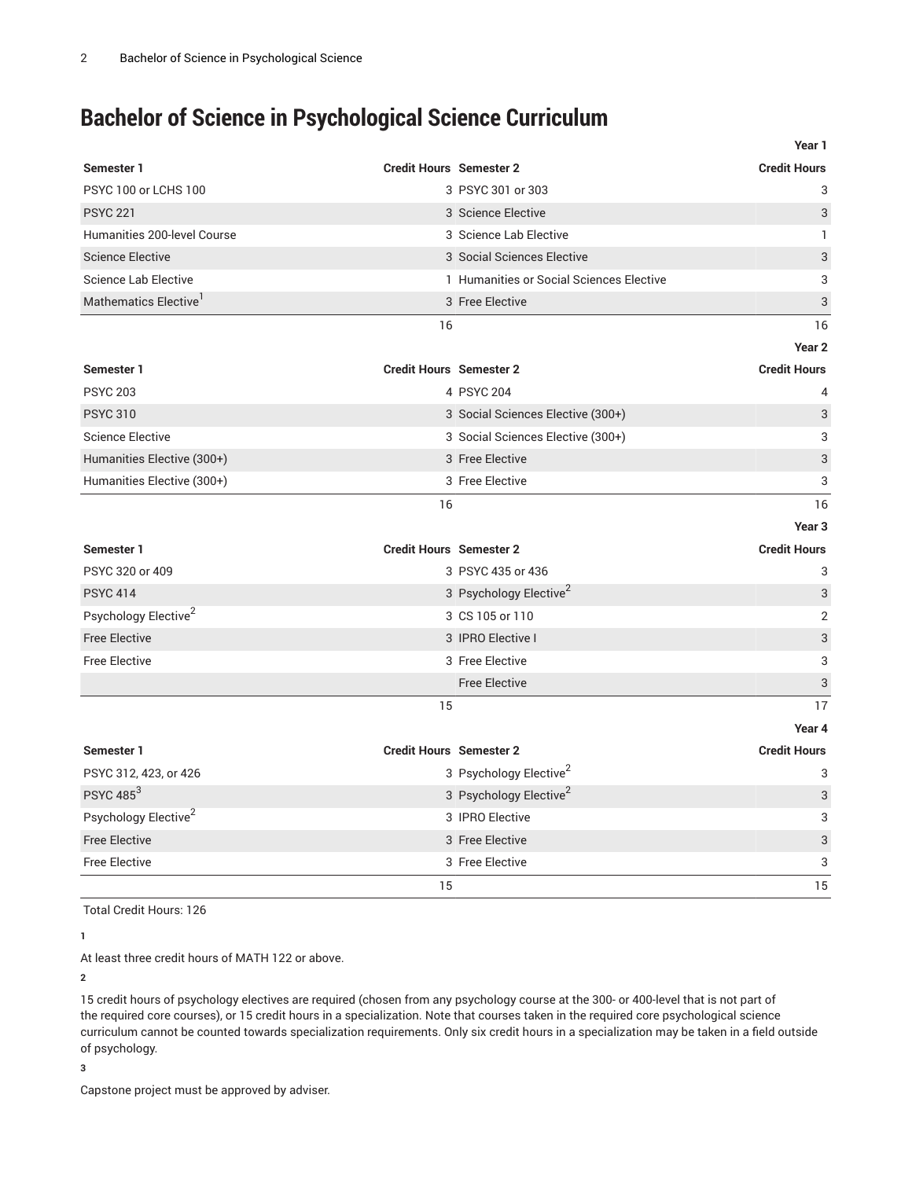# **Bachelor of Science in Psychological Science Curriculum**

|                                  | Year 1                                                |                |
|----------------------------------|-------------------------------------------------------|----------------|
| Semester 1                       | <b>Credit Hours</b><br><b>Credit Hours Semester 2</b> |                |
| PSYC 100 or LCHS 100             | 3 PSYC 301 or 303                                     | 3              |
| <b>PSYC 221</b>                  | 3 Science Elective                                    | 3              |
| Humanities 200-level Course      | 3 Science Lab Elective                                | $\mathbf{1}$   |
| <b>Science Elective</b>          | 3 Social Sciences Elective                            | 3              |
| <b>Science Lab Elective</b>      | 1 Humanities or Social Sciences Elective              | 3              |
| Mathematics Elective             | 3 Free Elective                                       | 3              |
|                                  | 16                                                    | 16             |
|                                  | Year <sub>2</sub>                                     |                |
| Semester 1                       | <b>Credit Hours Semester 2</b><br><b>Credit Hours</b> |                |
| <b>PSYC 203</b>                  | 4 PSYC 204                                            | 4              |
| <b>PSYC 310</b>                  | 3 Social Sciences Elective (300+)                     | 3              |
| <b>Science Elective</b>          | 3 Social Sciences Elective (300+)                     | 3              |
| Humanities Elective (300+)       | 3 Free Elective                                       | 3              |
| Humanities Elective (300+)       | 3 Free Elective                                       | 3              |
|                                  | 16                                                    | 16             |
|                                  | Year <sub>3</sub>                                     |                |
| Semester 1                       | <b>Credit Hours Semester 2</b><br><b>Credit Hours</b> |                |
| PSYC 320 or 409                  | 3 PSYC 435 or 436                                     | 3              |
| <b>PSYC 414</b>                  | 3 Psychology Elective <sup>2</sup>                    | 3              |
| Psychology Elective <sup>2</sup> | 3 CS 105 or 110                                       | $\overline{2}$ |
| <b>Free Elective</b>             | 3 IPRO Elective I                                     | 3              |
| <b>Free Elective</b>             | 3 Free Elective                                       | 3              |
|                                  | <b>Free Elective</b>                                  | 3              |
|                                  | 15                                                    | 17             |
|                                  | Year 4                                                |                |
| Semester 1                       | <b>Credit Hours Semester 2</b><br><b>Credit Hours</b> |                |
| PSYC 312, 423, or 426            | 3 Psychology Elective <sup>2</sup>                    | 3              |
| <b>PSYC 485<sup>3</sup></b>      | 3 Psychology Elective <sup>2</sup>                    | 3              |
| Psychology Elective <sup>2</sup> | 3 IPRO Elective                                       | 3              |
| <b>Free Elective</b>             | 3 Free Elective                                       | 3              |
| <b>Free Elective</b>             | 3 Free Elective                                       | 3              |
|                                  | 15                                                    | 15             |

Total Credit Hours: 126

**1**

At least three credit hours of MATH 122 or above.

**2**

15 credit hours of psychology electives are required (chosen from any psychology course at the 300- or 400-level that is not part of the required core courses), or 15 credit hours in a specialization. Note that courses taken in the required core psychological science curriculum cannot be counted towards specialization requirements. Only six credit hours in a specialization may be taken in a field outside of psychology.

**3**

Capstone project must be approved by adviser.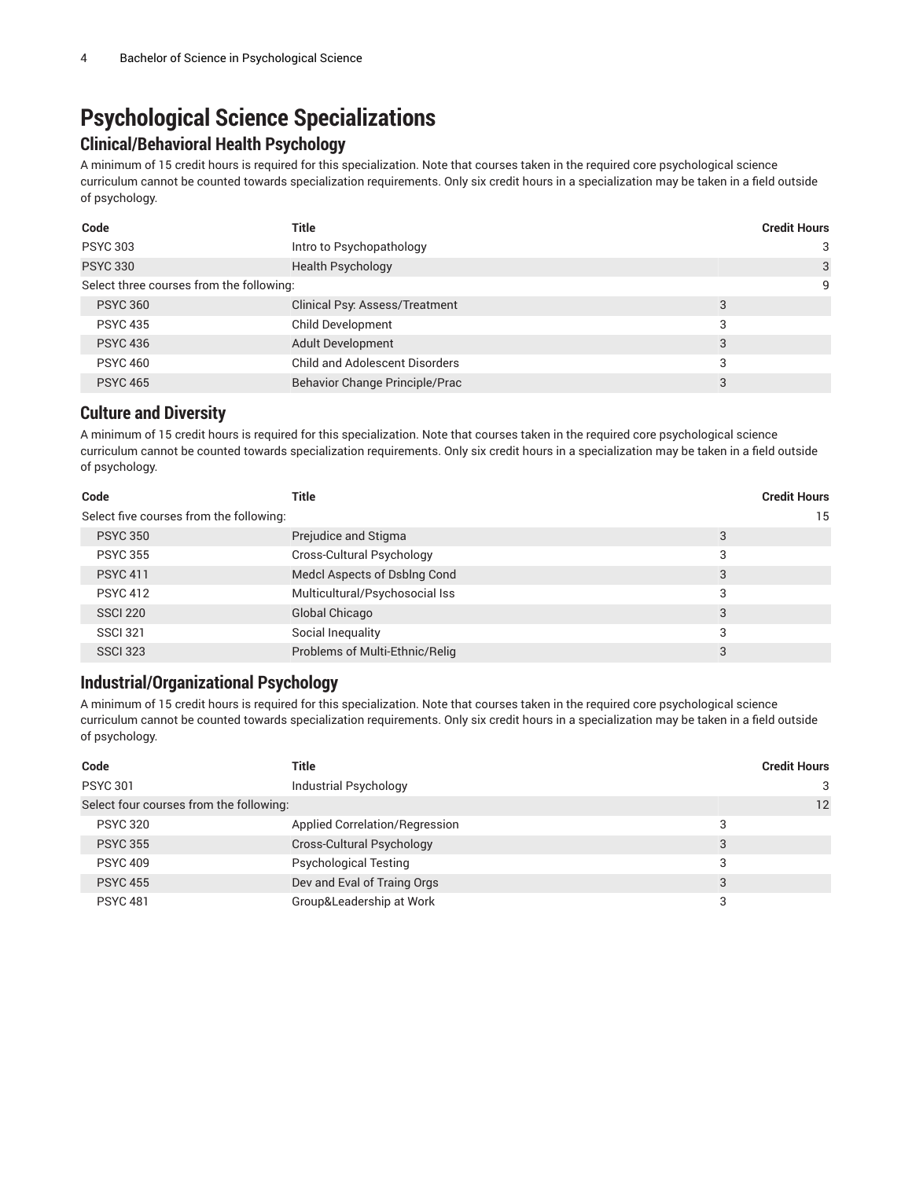# **Psychological Science Specializations**

### **Clinical/Behavioral Health Psychology**

A minimum of 15 credit hours is required for this specialization. Note that courses taken in the required core psychological science curriculum cannot be counted towards specialization requirements. Only six credit hours in a specialization may be taken in a field outside of psychology.

| Code                                     | Title                                 |   | <b>Credit Hours</b> |
|------------------------------------------|---------------------------------------|---|---------------------|
| <b>PSYC 303</b>                          | Intro to Psychopathology              |   | 3                   |
| <b>PSYC 330</b>                          | Health Psychology                     |   | 3                   |
| Select three courses from the following: |                                       |   | 9                   |
| <b>PSYC 360</b>                          | Clinical Psy: Assess/Treatment        | 3 |                     |
| <b>PSYC 435</b>                          | <b>Child Development</b>              | 3 |                     |
| <b>PSYC 436</b>                          | <b>Adult Development</b>              | 3 |                     |
| <b>PSYC 460</b>                          | <b>Child and Adolescent Disorders</b> | 3 |                     |
| <b>PSYC 465</b>                          | Behavior Change Principle/Prac        | 3 |                     |

### **Culture and Diversity**

A minimum of 15 credit hours is required for this specialization. Note that courses taken in the required core psychological science curriculum cannot be counted towards specialization requirements. Only six credit hours in a specialization may be taken in a field outside of psychology.

| Code                                    | <b>Title</b>                   | <b>Credit Hours</b> |
|-----------------------------------------|--------------------------------|---------------------|
| Select five courses from the following: |                                | 15                  |
| <b>PSYC 350</b>                         | Prejudice and Stigma           | 3                   |
| <b>PSYC 355</b>                         | Cross-Cultural Psychology      | 3                   |
| <b>PSYC 411</b>                         | Medcl Aspects of Dsblng Cond   | 3                   |
| <b>PSYC 412</b>                         | Multicultural/Psychosocial Iss | 3                   |
| <b>SSCI 220</b>                         | Global Chicago                 | 3                   |
| <b>SSCI 321</b>                         | Social Inequality              | 3                   |
| <b>SSCI 323</b>                         | Problems of Multi-Ethnic/Relig | 3                   |

### **Industrial/Organizational Psychology**

A minimum of 15 credit hours is required for this specialization. Note that courses taken in the required core psychological science curriculum cannot be counted towards specialization requirements. Only six credit hours in a specialization may be taken in a field outside of psychology.

| Code                                    | Title                          | <b>Credit Hours</b> |
|-----------------------------------------|--------------------------------|---------------------|
| <b>PSYC 301</b>                         | <b>Industrial Psychology</b>   | 3                   |
| Select four courses from the following: |                                | 12                  |
| <b>PSYC 320</b>                         | Applied Correlation/Regression | 3                   |
| <b>PSYC 355</b>                         | Cross-Cultural Psychology      | 3                   |
| <b>PSYC 409</b>                         | <b>Psychological Testing</b>   | 3                   |
| <b>PSYC 455</b>                         | Dev and Eval of Traing Orgs    | 3                   |
| <b>PSYC 481</b>                         | Group&Leadership at Work       | 3                   |